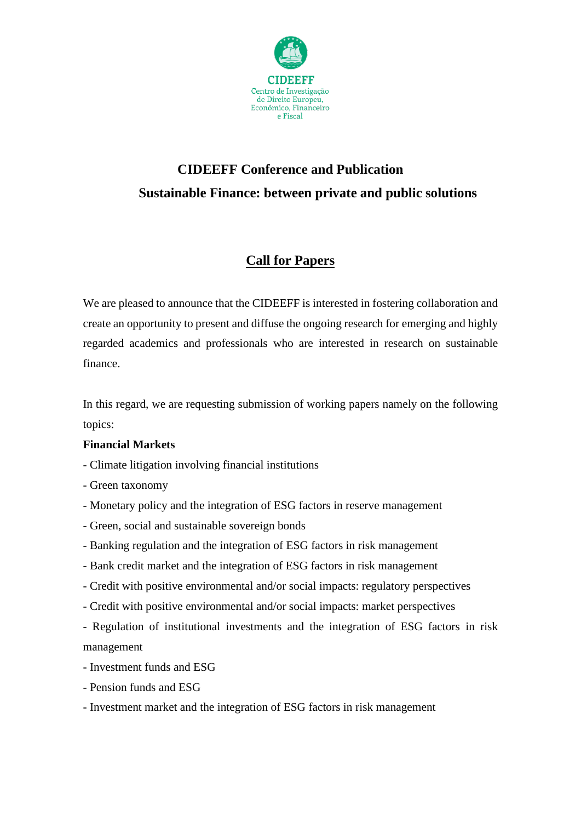

# **CIDEEFF Conference and Publication Sustainable Finance: between private and public solutions**

# **Call for Papers**

We are pleased to announce that the CIDEEFF is interested in fostering collaboration and create an opportunity to present and diffuse the ongoing research for emerging and highly regarded academics and professionals who are interested in research on sustainable finance.

In this regard, we are requesting submission of working papers namely on the following topics:

#### **Financial Markets**

- Climate litigation involving financial institutions
- Green taxonomy
- Monetary policy and the integration of ESG factors in reserve management
- Green, social and sustainable sovereign bonds
- Banking regulation and the integration of ESG factors in risk management
- Bank credit market and the integration of ESG factors in risk management
- Credit with positive environmental and/or social impacts: regulatory perspectives
- Credit with positive environmental and/or social impacts: market perspectives
- Regulation of institutional investments and the integration of ESG factors in risk management
- Investment funds and ESG
- Pension funds and ESG
- Investment market and the integration of ESG factors in risk management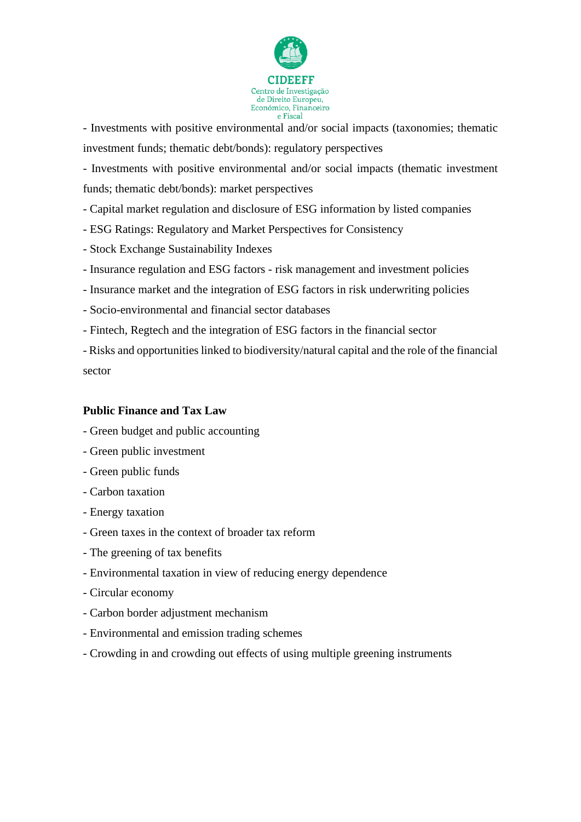

- Investments with positive environmental and/or social impacts (taxonomies; thematic investment funds; thematic debt/bonds): regulatory perspectives

- Investments with positive environmental and/or social impacts (thematic investment funds; thematic debt/bonds): market perspectives

- Capital market regulation and disclosure of ESG information by listed companies

- ESG Ratings: Regulatory and Market Perspectives for Consistency
- Stock Exchange Sustainability Indexes
- Insurance regulation and ESG factors risk management and investment policies
- Insurance market and the integration of ESG factors in risk underwriting policies
- Socio-environmental and financial sector databases
- Fintech, Regtech and the integration of ESG factors in the financial sector

- Risks and opportunities linked to biodiversity/natural capital and the role of the financial sector

#### **Public Finance and Tax Law**

- Green budget and public accounting
- Green public investment
- Green public funds
- Carbon taxation
- Energy taxation
- Green taxes in the context of broader tax reform
- The greening of tax benefits
- Environmental taxation in view of reducing energy dependence
- Circular economy
- Carbon border adjustment mechanism
- Environmental and emission trading schemes
- Crowding in and crowding out effects of using multiple greening instruments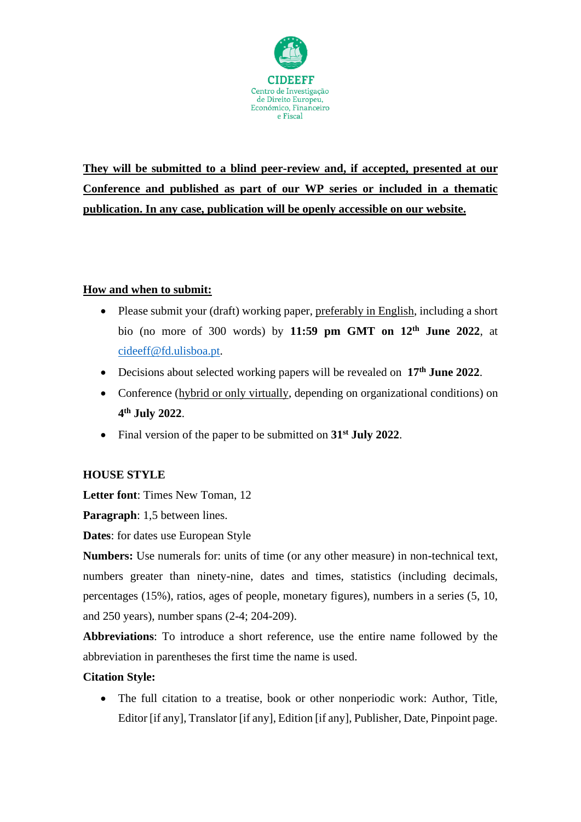

**They will be submitted to a blind peer-review and, if accepted, presented at our Conference and published as part of our WP series or included in a thematic publication. In any case, publication will be openly accessible on our website.**

## **How and when to submit:**

- Please submit your (draft) working paper, preferably in English, including a short bio (no more of 300 words) by **11:59 pm GMT on 12th June 2022**, at [cideeff@fd.ulisboa.pt.](mailto:cideeff@fd.ulisboa.pt)
- Decisions about selected working papers will be revealed on **17th June 2022**.
- Conference (hybrid or only virtually, depending on organizational conditions) on **4 th July 2022**.
- Final version of the paper to be submitted on **31 st July 2022**.

## **HOUSE STYLE**

**Letter font**: Times New Toman, 12

**Paragraph**: 1,5 between lines.

**Dates**: for dates use European Style

**Numbers:** Use numerals for: units of time (or any other measure) in non-technical text, numbers greater than ninety-nine, dates and times, statistics (including decimals, percentages (15%), ratios, ages of people, monetary figures), numbers in a series (5, 10, and 250 years), number spans (2-4; 204-209).

**Abbreviations**: To introduce a short reference, use the entire name followed by the abbreviation in parentheses the first time the name is used.

#### **Citation Style:**

• The full citation to a treatise, book or other nonperiodic work: Author, Title, Editor [if any], Translator [if any], Edition [if any], Publisher, Date, Pinpoint page.